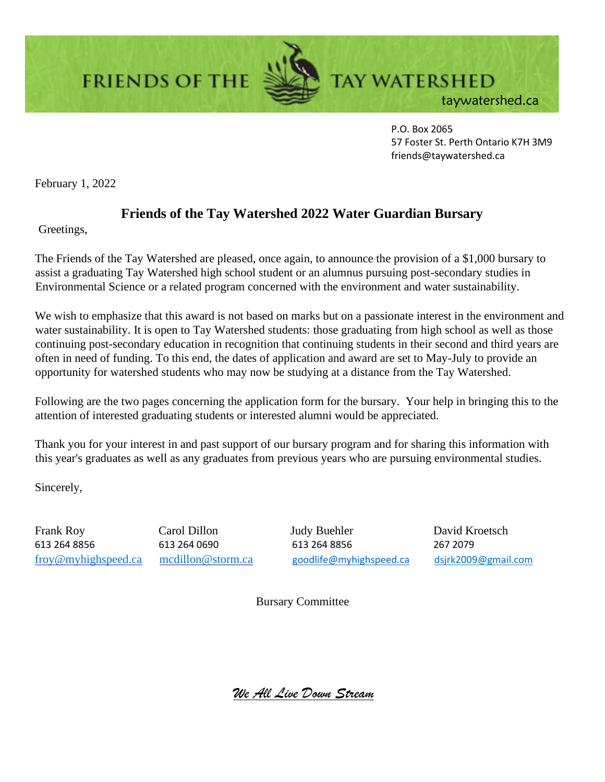**FRIENDS OF THE** 



**TAY WATERSHED** taywatershed.ca

> P.O. Box 2065 57 Foster St. Perth Ontario K7H 3M9 friends@taywatershed.ca

February 1, 2022

## **Friends of the Tay Watershed 2022 Water Guardian Bursary**

Greetings,

The Friends of the Tay Watershed are pleased, once again, to announce the provision of a \$1,000 bursary to assist a graduating Tay Watershed high school student or an alumnus pursuing post-secondary studies in Environmental Science or a related program concerned with the environment and water sustainability.

We wish to emphasize that this award is not based on marks but on a passionate interest in the environment and water sustainability. It is open to Tay Watershed students: those graduating from high school as well as those continuing post-secondary education in recognition that continuing students in their second and third years are often in need of funding. To this end, the dates of application and award are set to May-July to provide an opportunity for watershed students who may now be studying at a distance from the Tay Watershed.

Following are the two pages concerning the application form for the bursary. Your help in bringing this to the attention of interested graduating students or interested alumni would be appreciated.

Thank you for your interest in and past support of our bursary program and for sharing this information with this year's graduates as well as any graduates from previous years who are pursuing environmental studies.

Sincerely,

Frank Roy Carol Dillon Judy Buehler David Kroetsch 613 264 8856 613 264 0690 613 264 8856 267 2079 froy@myhighspeed.ca mcdillon@storm.ca [goodlife@myhighspeed.ca](mailto:goodlife@myhighspeed.ca) dsjrk2009@gmail.com

Bursary Committee

*We All Live Down Stream*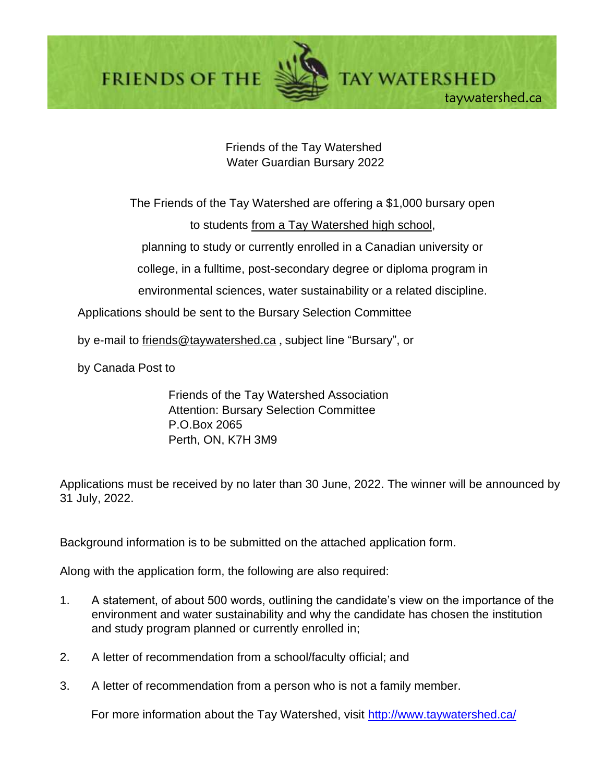**FRIENDS OF THE** 



Friends of the Tay Watershed Water Guardian Bursary 2022

The Friends of the Tay Watershed are offering a \$1,000 bursary open to students from a Tay Watershed high school, planning to study or currently enrolled in a Canadian university or college, in a fulltime, post-secondary degree or diploma program in environmental sciences, water sustainability or a related discipline.

Applications should be sent to the Bursary Selection Committee

by e-mail to friends@taywatershed.ca , subject line "Bursary", or

by Canada Post to

Friends of the Tay Watershed Association Attention: Bursary Selection Committee P.O.Box 2065 Perth, ON, K7H 3M9

Applications must be received by no later than 30 June, 2022. The winner will be announced by 31 July, 2022.

Background information is to be submitted on the attached application form.

Along with the application form, the following are also required:

- 1. A statement, of about 500 words, outlining the candidate's view on the importance of the environment and water sustainability and why the candidate has chosen the institution and study program planned or currently enrolled in;
- 2. A letter of recommendation from a school/faculty official; and
- 3. A letter of recommendation from a person who is not a family member.

For more information about the Tay Watershed, visit http://www.taywatershed.ca/